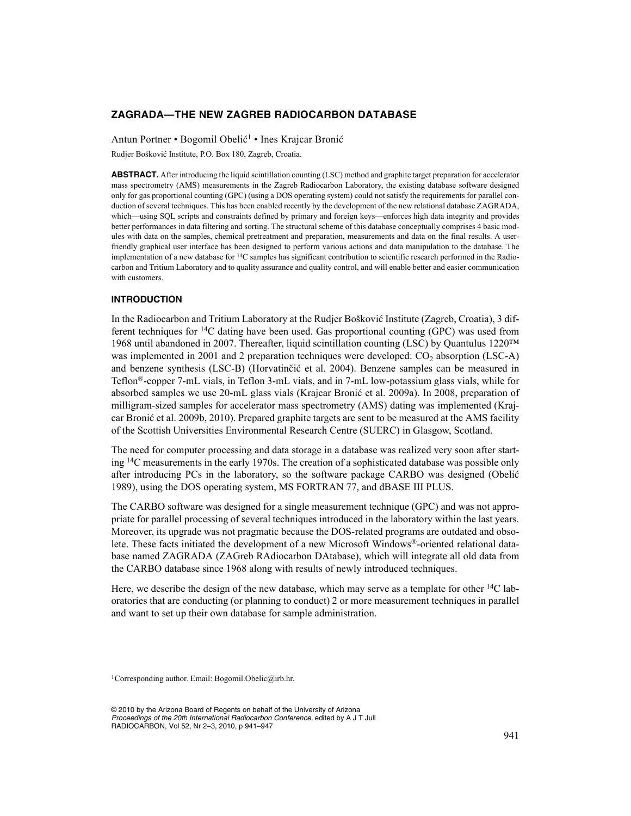# **ZAGRADA—THE NEW ZAGREB RADIOCARBON DATABASE**

Antun Portner • Bogomil Obelić<sup>1</sup> • Ines Krajcar Bronić

Rudjer Bošković Institute, P.O. Box 180, Zagreb, Croatia.

**ABSTRACT.** After introducing the liquid scintillation counting (LSC) method and graphite target preparation for accelerator mass spectrometry (AMS) measurements in the Zagreb Radiocarbon Laboratory, the existing database software designed only for gas proportional counting (GPC) (using a DOS operating system) could not satisfy the requirements for parallel conduction of several techniques. This has been enabled recently by the development of the new relational database ZAGRADA, which—using SQL scripts and constraints defined by primary and foreign keys—enforces high data integrity and provides better performances in data filtering and sorting. The structural scheme of this database conceptually comprises 4 basic modules with data on the samples, chemical pretreatment and preparation, measurements and data on the final results. A userfriendly graphical user interface has been designed to perform various actions and data manipulation to the database. The implementation of a new database for  $14C$  samples has significant contribution to scientific research performed in the Radiocarbon and Tritium Laboratory and to quality assurance and quality control, and will enable better and easier communication with customers.

## **INTRODUCTION**

In the Radiocarbon and Tritium Laboratory at the Rudjer Bošković Institute (Zagreb, Croatia), 3 different techniques for  $14C$  dating have been used. Gas proportional counting (GPC) was used from 1968 until abandoned in 2007. Thereafter, liquid scintillation counting (LSC) by Quantulus 1220™ was implemented in 2001 and 2 preparation techniques were developed:  $CO<sub>2</sub>$  absorption (LSC-A) and benzene synthesis (LSC-B) (Horvatinčić et al. 2004). Benzene samples can be measured in Teflon®-copper 7-mL vials, in Teflon 3-mL vials, and in 7-mL low-potassium glass vials, while for absorbed samples we use 20-mL glass vials (Krajcar Bronić et al. 2009a). In 2008, preparation of milligram-sized samples for accelerator mass spectrometry (AMS) dating was implemented (Krajcar Bronić et al. 2009b, 2010). Prepared graphite targets are sent to be measured at the AMS facility of the Scottish Universities Environmental Research Centre (SUERC) in Glasgow, Scotland.

The need for computer processing and data storage in a database was realized very soon after starting <sup>14</sup>C measurements in the early 1970s. The creation of a sophisticated database was possible only after introducing PCs in the laboratory, so the software package CARBO was designed (Obelić 1989), using the DOS operating system, MS FORTRAN 77, and dBASE III PLUS.

The CARBO software was designed for a single measurement technique (GPC) and was not appropriate for parallel processing of several techniques introduced in the laboratory within the last years. Moreover, its upgrade was not pragmatic because the DOS-related programs are outdated and obsolete. These facts initiated the development of a new Microsoft Windows®-oriented relational database named ZAGRADA (ZAGreb RAdiocarbon DAtabase), which will integrate all old data from the CARBO database since 1968 along with results of newly introduced techniques.

Here, we describe the design of the new database, which may serve as a template for other <sup>14</sup>C laboratories that are conducting (or planning to conduct) 2 or more measurement techniques in parallel and want to set up their own database for sample administration.

1Corresponding author. Email: Bogomil.Obelic@irb.hr.

© 2010 by the Arizona Board of Regents on behalf of the University of Arizona *Proceedings of the 20th International Radiocarbon Conference,* edited by A J T Jull RADIOCARBON, Vol 52, Nr 2–3, 2010, p 941–947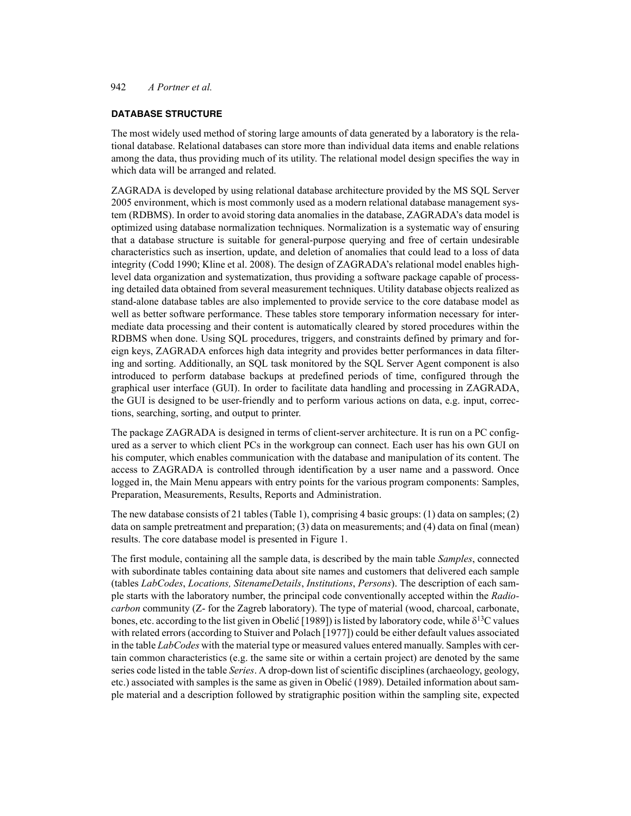# 942 *A Portner et al.*

### **DATABASE STRUCTURE**

The most widely used method of storing large amounts of data generated by a laboratory is the relational database. Relational databases can store more than individual data items and enable relations among the data, thus providing much of its utility. The relational model design specifies the way in which data will be arranged and related.

ZAGRADA is developed by using relational database architecture provided by the MS SQL Server 2005 environment, which is most commonly used as a modern relational database management system (RDBMS). In order to avoid storing data anomalies in the database, ZAGRADA's data model is optimized using database normalization techniques. Normalization is a systematic way of ensuring that a database structure is suitable for general-purpose querying and free of certain undesirable characteristics such as insertion, update, and deletion of anomalies that could lead to a loss of data integrity (Codd 1990; Kline et al. 2008). The design of ZAGRADA's relational model enables highlevel data organization and systematization, thus providing a software package capable of processing detailed data obtained from several measurement techniques. Utility database objects realized as stand-alone database tables are also implemented to provide service to the core database model as well as better software performance. These tables store temporary information necessary for intermediate data processing and their content is automatically cleared by stored procedures within the RDBMS when done. Using SQL procedures, triggers, and constraints defined by primary and foreign keys, ZAGRADA enforces high data integrity and provides better performances in data filtering and sorting. Additionally, an SQL task monitored by the SQL Server Agent component is also introduced to perform database backups at predefined periods of time, configured through the graphical user interface (GUI). In order to facilitate data handling and processing in ZAGRADA, the GUI is designed to be user-friendly and to perform various actions on data, e.g. input, corrections, searching, sorting, and output to printer.

The package ZAGRADA is designed in terms of client-server architecture. It is run on a PC configured as a server to which client PCs in the workgroup can connect. Each user has his own GUI on his computer, which enables communication with the database and manipulation of its content. The access to ZAGRADA is controlled through identification by a user name and a password. Once logged in, the Main Menu appears with entry points for the various program components: Samples, Preparation, Measurements, Results, Reports and Administration.

The new database consists of 21 tables (Table 1), comprising 4 basic groups: (1) data on samples; (2) data on sample pretreatment and preparation; (3) data on measurements; and (4) data on final (mean) results. The core database model is presented in Figure 1.

The first module, containing all the sample data, is described by the main table *Samples*, connected with subordinate tables containing data about site names and customers that delivered each sample (tables *LabCodes*, *Locations, SitenameDetails*, *Institutions*, *Persons*). The description of each sample starts with the laboratory number, the principal code conventionally accepted within the *Radiocarbon* community (Z- for the Zagreb laboratory). The type of material (wood, charcoal, carbonate, bones, etc. according to the list given in Obelić [1989]) is listed by laboratory code, while  $\delta^{13}C$  values with related errors (according to Stuiver and Polach [1977]) could be either default values associated in the table *LabCodes* with the material type or measured values entered manually. Samples with certain common characteristics (e.g. the same site or within a certain project) are denoted by the same series code listed in the table *Series*. A drop-down list of scientific disciplines (archaeology, geology, etc.) associated with samples is the same as given in Obelić (1989). Detailed information about sample material and a description followed by stratigraphic position within the sampling site, expected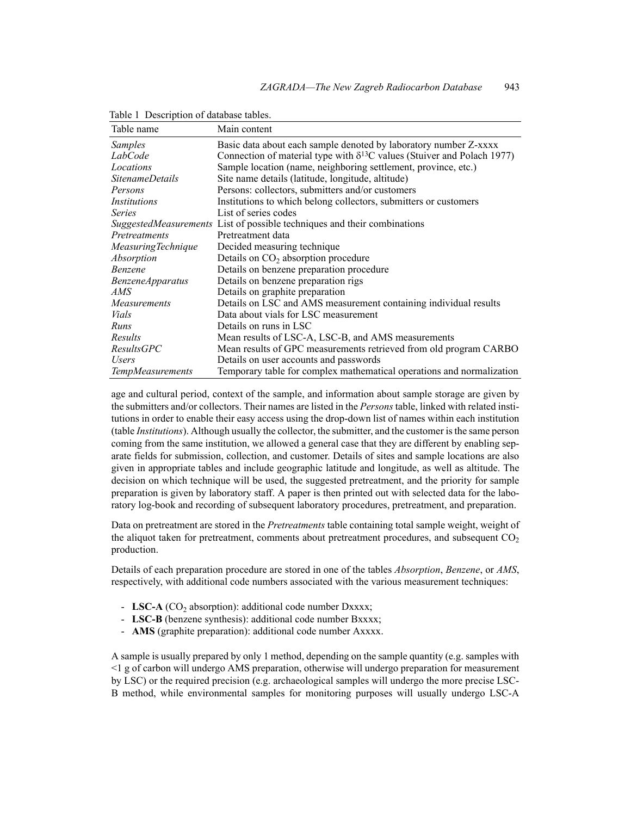| Table name              | Main content                                                                      |
|-------------------------|-----------------------------------------------------------------------------------|
| Samples                 | Basic data about each sample denoted by laboratory number Z-xxxx                  |
| LabCode                 | Connection of material type with $\delta^{13}$ C values (Stuiver and Polach 1977) |
| Locations               | Sample location (name, neighboring settlement, province, etc.)                    |
| <i>SitenameDetails</i>  | Site name details (latitude, longitude, altitude)                                 |
| Persons                 | Persons: collectors, submitters and/or customers                                  |
| Institutions            | Institutions to which belong collectors, submitters or customers                  |
| <b>Series</b>           | List of series codes                                                              |
|                         | <i>SuggestedMeasurements</i> List of possible techniques and their combinations   |
| Pretreatments           | Pretreatment data                                                                 |
| Measuring Technique     | Decided measuring technique                                                       |
| Absorption              | Details on $CO2$ absorption procedure                                             |
| Benzene                 | Details on benzene preparation procedure                                          |
| <b>BenzeneApparatus</b> | Details on benzene preparation rigs                                               |
| AMS                     | Details on graphite preparation                                                   |
| Measurements            | Details on LSC and AMS measurement containing individual results                  |
| Vials                   | Data about vials for LSC measurement                                              |
| Runs                    | Details on runs in LSC                                                            |
| Results                 | Mean results of LSC-A, LSC-B, and AMS measurements                                |
| ResultsGPC              | Mean results of GPC measurements retrieved from old program CARBO                 |
| Users                   | Details on user accounts and passwords                                            |
| <b>TempMeasurements</b> | Temporary table for complex mathematical operations and normalization             |

Table 1 Description of database tables.

age and cultural period, context of the sample, and information about sample storage are given by the submitters and/or collectors. Their names are listed in the *Persons* table, linked with related institutions in order to enable their easy access using the drop-down list of names within each institution (table *Institutions*). Although usually the collector, the submitter, and the customer is the same person coming from the same institution, we allowed a general case that they are different by enabling separate fields for submission, collection, and customer. Details of sites and sample locations are also given in appropriate tables and include geographic latitude and longitude, as well as altitude. The decision on which technique will be used, the suggested pretreatment, and the priority for sample preparation is given by laboratory staff. A paper is then printed out with selected data for the laboratory log-book and recording of subsequent laboratory procedures, pretreatment, and preparation.

Data on pretreatment are stored in the *Pretreatments* table containing total sample weight, weight of the aliquot taken for pretreatment, comments about pretreatment procedures, and subsequent  $CO<sub>2</sub>$ production.

Details of each preparation procedure are stored in one of the tables *Absorption*, *Benzene*, or *AMS*, respectively, with additional code numbers associated with the various measurement techniques:

- **LSC-A** (CO<sub>2</sub> absorption): additional code number Dxxxx;
- **LSC-B** (benzene synthesis): additional code number Bxxxx;
- **AMS** (graphite preparation): additional code number Axxxx.

A sample is usually prepared by only 1 method, depending on the sample quantity (e.g. samples with <1 g of carbon will undergo AMS preparation, otherwise will undergo preparation for measurement by LSC) or the required precision (e.g. archaeological samples will undergo the more precise LSC-B method, while environmental samples for monitoring purposes will usually undergo LSC-A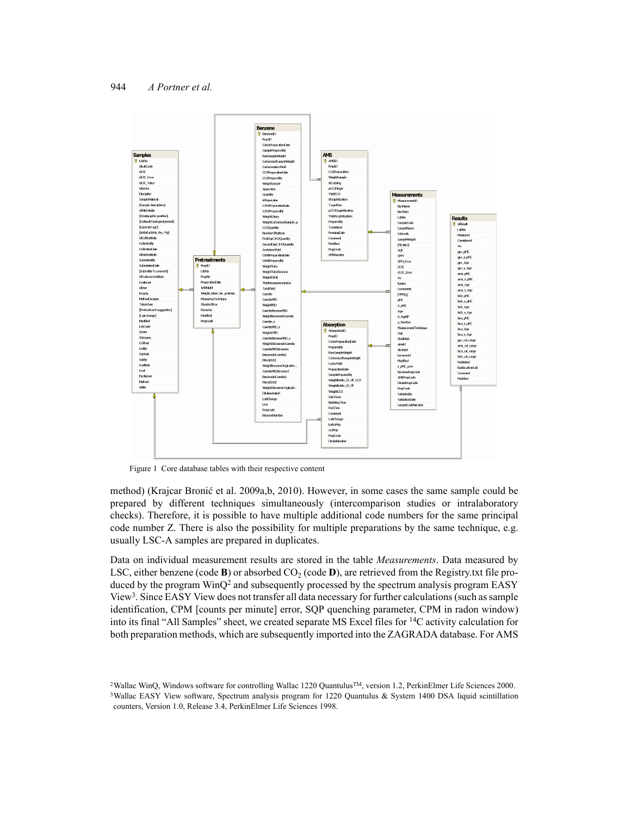

Figure 1 Core database tables with their respective content

method) (Krajcar Bronić et al. 2009a,b, 2010). However, in some cases the same sample could be prepared by different techniques simultaneously (intercomparison studies or intralaboratory checks). Therefore, it is possible to have multiple additional code numbers for the same principal code number Z. There is also the possibility for multiple preparations by the same technique, e.g. usually LSC-A samples are prepared in duplicates.

Data on individual measurement results are stored in the table *Measurements*. Data measured by LSC, either benzene (code **B**) or absorbed  $CO<sub>2</sub>$  (code **D**), are retrieved from the Registry.txt file produced by the program  $WinQ<sup>2</sup>$  and subsequently processed by the spectrum analysis program EASY View<sup>3</sup>. Since EASY View does not transfer all data necessary for further calculations (such as sample identification, CPM [counts per minute] error, SQP quenching parameter, CPM in radon window) into its final "All Samples" sheet, we created separate MS Excel files for 14C activity calculation for both preparation methods, which are subsequently imported into the ZAGRADA database. For AMS

<sup>&</sup>lt;sup>2</sup>Wallac WinQ, Windows software for controlling Wallac 1220 Quantulus™, version 1.2, PerkinElmer Life Sciences 2000. <sup>3</sup>Wallac EASY View software, Spectrum analysis program for 1220 Quantulus & System 1400 DSA liquid scintillation counters, Version 1.0, Release 3.4, PerkinElmer Life Sciences 1998.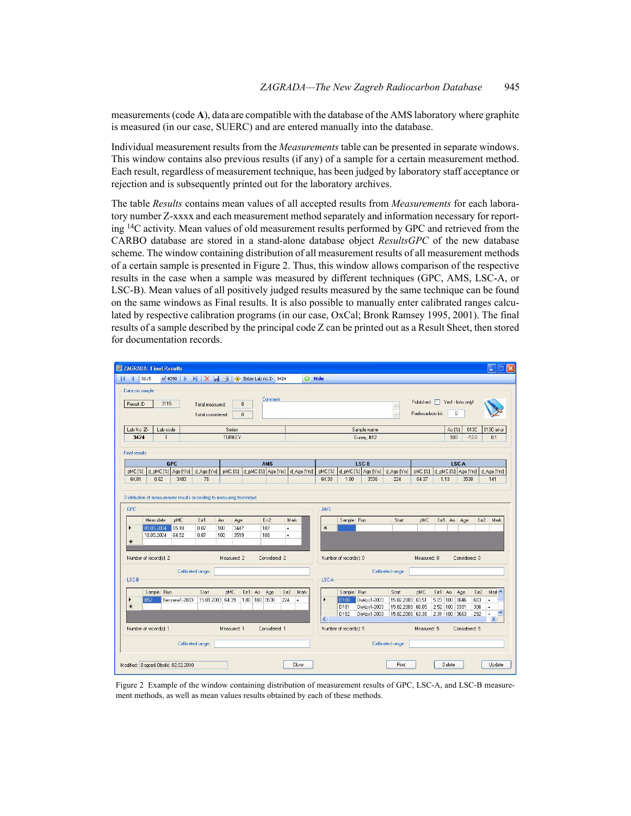measurements (code **A**), data are compatible with the database of the AMS laboratory where graphite is measured (in our case, SUERC) and are entered manually into the database.

Individual measurement results from the *Measurements* table can be presented in separate windows. This window contains also previous results (if any) of a sample for a certain measurement method. Each result, regardless of measurement technique, has been judged by laboratory staff acceptance or rejection and is subsequently printed out for the laboratory archives.

The table *Results* contains mean values of all accepted results from *Measurements* for each laboratory number Z-xxxx and each measurement method separately and information necessary for reporting <sup>14</sup>C activity. Mean values of old measurement results performed by GPC and retrieved from the CARBO database are stored in a stand-alone database object *ResultsGPC* of the new database scheme. The window containing distribution of all measurement results of all measurement methods of a certain sample is presented in Figure 2. Thus, this window allows comparison of the respective results in the case when a sample was measured by different techniques (GPC, AMS, LSC-A, or LSC-B). Mean values of all positively judged results measured by the same technique can be found on the same windows as Final results. It is also possible to manually enter calibrated ranges calculated by respective calibration programs (in our case, OxCal; Bronk Ramsey 1995, 2001). The final results of a sample described by the principal code Z can be printed out as a Result Sheet, then stored for documentation records.



Figure 2 Example of the window containing distribution of measurement results of GPC, LSC-A, and LSC-B measurement methods, as well as mean values results obtained by each of these methods.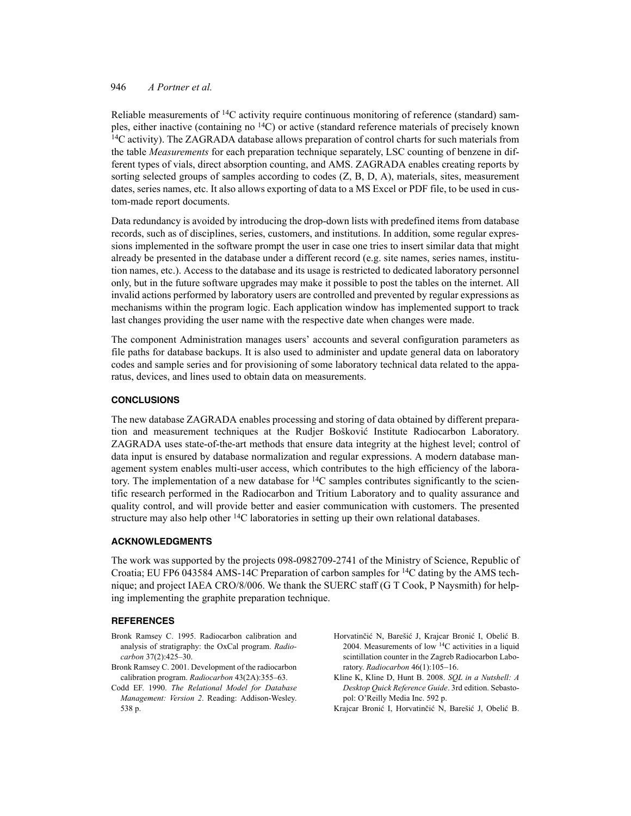# 946 *A Portner et al.*

Reliable measurements of  $^{14}$ C activity require continuous monitoring of reference (standard) samples, either inactive (containing no 14C) or active (standard reference materials of precisely known <sup>14</sup>C activity). The ZAGRADA database allows preparation of control charts for such materials from the table *Measurements* for each preparation technique separately, LSC counting of benzene in different types of vials, direct absorption counting, and AMS. ZAGRADA enables creating reports by sorting selected groups of samples according to codes (Z, B, D, A), materials, sites, measurement dates, series names, etc. It also allows exporting of data to a MS Excel or PDF file, to be used in custom-made report documents.

Data redundancy is avoided by introducing the drop-down lists with predefined items from database records, such as of disciplines, series, customers, and institutions. In addition, some regular expressions implemented in the software prompt the user in case one tries to insert similar data that might already be presented in the database under a different record (e.g. site names, series names, institution names, etc.). Access to the database and its usage is restricted to dedicated laboratory personnel only, but in the future software upgrades may make it possible to post the tables on the internet. All invalid actions performed by laboratory users are controlled and prevented by regular expressions as mechanisms within the program logic. Each application window has implemented support to track last changes providing the user name with the respective date when changes were made.

The component Administration manages users' accounts and several configuration parameters as file paths for database backups. It is also used to administer and update general data on laboratory codes and sample series and for provisioning of some laboratory technical data related to the apparatus, devices, and lines used to obtain data on measurements.

### **CONCLUSIONS**

The new database ZAGRADA enables processing and storing of data obtained by different preparation and measurement techniques at the Rudjer Bošković Institute Radiocarbon Laboratory. ZAGRADA uses state-of-the-art methods that ensure data integrity at the highest level; control of data input is ensured by database normalization and regular expressions. A modern database management system enables multi-user access, which contributes to the high efficiency of the laboratory. The implementation of a new database for  ${}^{14}C$  samples contributes significantly to the scientific research performed in the Radiocarbon and Tritium Laboratory and to quality assurance and quality control, and will provide better and easier communication with customers. The presented structure may also help other 14C laboratories in setting up their own relational databases.

#### **ACKNOWLEDGMENTS**

The work was supported by the projects 098-0982709-2741 of the Ministry of Science, Republic of Croatia; EU FP6 043584 AMS-14C Preparation of carbon samples for 14C dating by the AMS technique; and project IAEA CRO/8/006. We thank the SUERC staff (G T Cook, P Naysmith) for helping implementing the graphite preparation technique.

## **REFERENCES**

- Bronk Ramsey C. 1995. Radiocarbon calibration and analysis of stratigraphy: the OxCal program. *Radiocarbon* 37(2):425–30.
- Bronk Ramsey C. 2001. Development of the radiocarbon calibration program. *Radiocarbon* 43(2A):355–63.
- Codd EF. 1990. *The Relational Model for Database Management: Version 2*. Reading: Addison-Wesley. 538 p.
- Horvatinčić N, Barešić J, Krajcar Bronić I, Obelić B. 2004. Measurements of low 14C activities in a liquid scintillation counter in the Zagreb Radiocarbon Laboratory. *Radiocarbon* 46(1):105-16.
- Kline K, Kline D, Hunt B. 2008. *SQL in a Nutshell: A Desktop Quick Reference Guide*. 3rd edition. Sebastopol: O'Reilly Media Inc. 592 p.
- Krajcar Bronić I, Horvatinčić N, Barešić J, Obelić B.